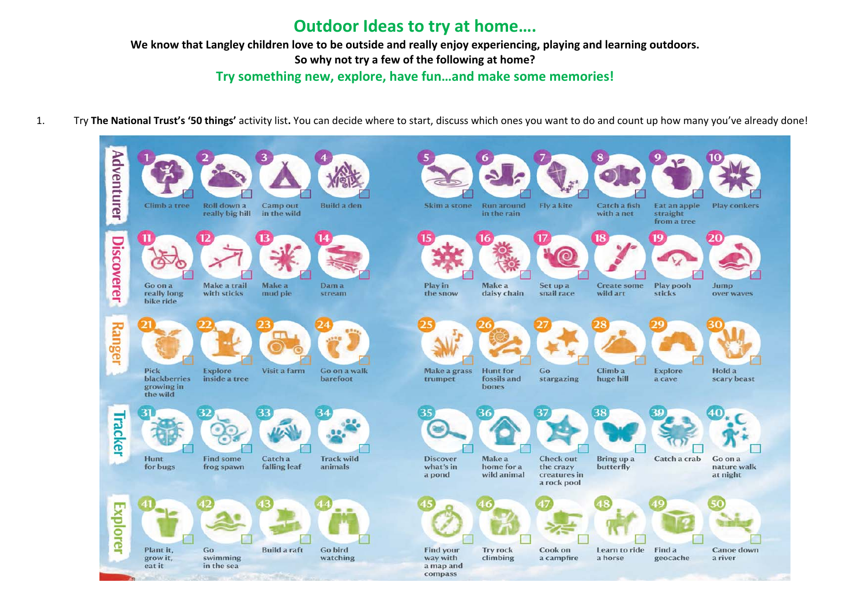# **Outdoor Ideas to try at home….**

**We know that Langley children love to be outside and really enjoy experiencing, playing and learning outdoors.** 

**So why not try a few of the following at home?** 

**Try something new, explore, have fun…and make some memories!**

1.Try **The National Trust's '50 things'** activity list**.** You can decide where to start, discuss which ones you want to do and count up how many you've already done!

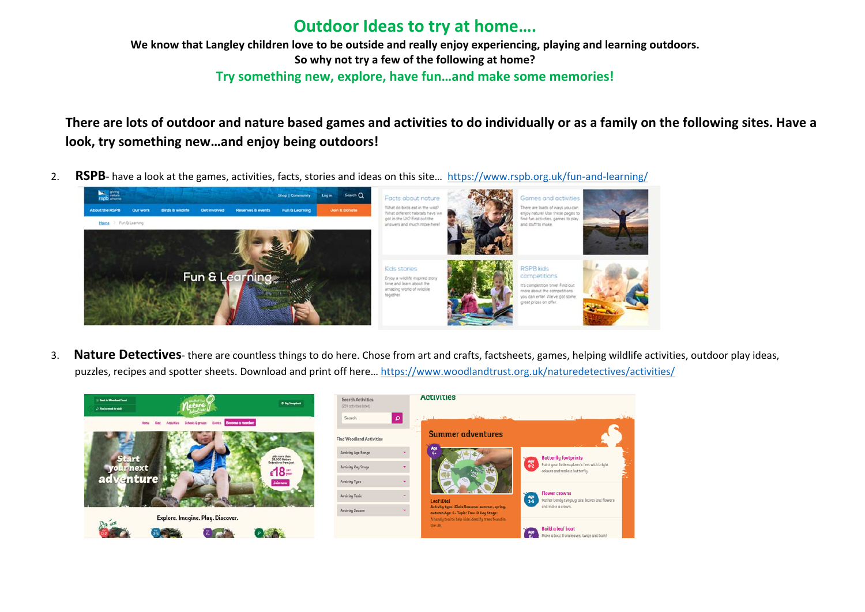# **Outdoor Ideas to try at home….**

**We know that Langley children love to be outside and really enjoy experiencing, playing and learning outdoors. So why not try a few of the following at home? Try something new, explore, have fun…and make some memories!**

**There are lots of outdoor and nature based games and activities to do individually or as a family on the following sites. Have a look, try something new…and enjoy being outdoors!** 

2. **RSPB**- have a look at the games, activities, facts, stories and ideas on this site… https://www.rspb.org.uk/fun-and-learning/



3. **Nature Detectives**- there are countless things to do here. Chose from art and crafts, factsheets, games, helping wildlife activities, outdoor play ideas, puzzles, recipes and spotter sheets. Download and print off here… https://www.woodlandtrust.org.uk/naturedetectives/activities/